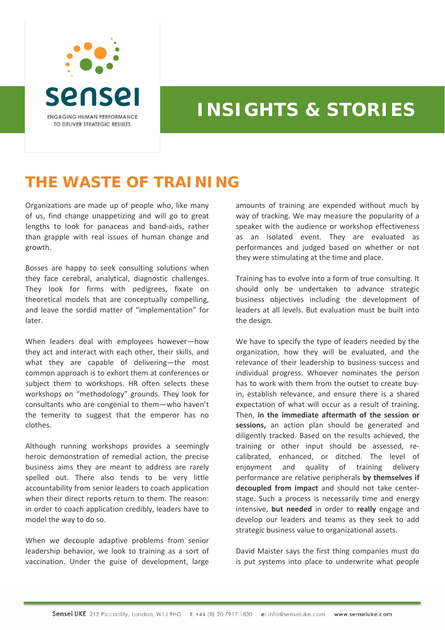

## **INSIGHTS & STORIES**

## **THE WASTE OF TRAINING**

Organizations are made up of people who, like many of us, find change unappetizing and will go to great lengths to look for panaceas and band‐aids, rather than grapple with real issues of human change and growth.

Bosses are happy to seek consulting solutions when they face cerebral, analytical, diagnostic challenges. They look for firms with pedigrees, fixate on theoretical models that are conceptually compelling, and leave the sordid matter of "implementation" for later.

When leaders deal with employees however—how they act and interact with each other, their skills, and what they are capable of delivering—the most common approach is to exhort them at conferences or subject them to workshops. HR often selects these workshops on "methodology" grounds. They look for consultants who are congenial to them—who haven't the temerity to suggest that the emperor has no clothes.

Although running workshops provides a seemingly heroic demonstration of remedial action, the precise business aims they are meant to address are rarely spelled out. There also tends to be very little accountability from senior leaders to coach application when their direct reports return to them. The reason: in order to coach application credibly, leaders have to model the way to do so.

When we decouple adaptive problems from senior leadership behavior, we look to training as a sort of vaccination. Under the guise of development, large

amounts of training are expended without much by way of tracking. We may measure the popularity of a speaker with the audience or workshop effectiveness as an isolated event. They are evaluated as performances and judged based on whether or not they were stimulating at the time and place.

Training has to evolve into a form of true consulting. It should only be undertaken to advance strategic business objectives including the development of leaders at all levels. But evaluation must be built into the design.

We have to specify the type of leaders needed by the organization, how they will be evaluated, and the relevance of their leadership to business success and individual progress. Whoever nominates the person has to work with them from the outset to create buy‐ in, establish relevance, and ensure there is a shared expectation of what will occur as a result of training. Then, **in the immediate aftermath of the session or sessions,** an action plan should be generated and diligently tracked. Based on the results achieved, the training or other input should be assessed, re‐ calibrated, enhanced, or ditched. The level of enjoyment and quality of training delivery performance are relative peripherals **by themselves if decoupled from impact** and should not take center‐ stage. Such a process is necessarily time and energy intensive, **but needed** in order to **really** engage and develop our leaders and teams as they seek to add strategic business value to organizational assets.

David Maister says the first thing companies must do is put systems into place to underwrite what people